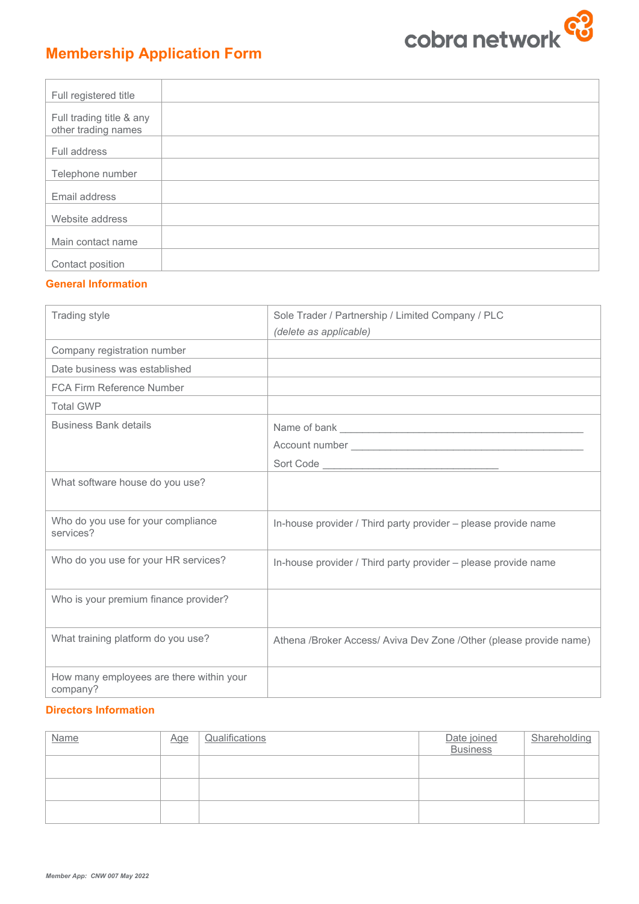

| Full registered title                           |  |
|-------------------------------------------------|--|
| Full trading title & any<br>other trading names |  |
| Full address                                    |  |
| Telephone number                                |  |
| Email address                                   |  |
| Website address                                 |  |
| Main contact name                               |  |
| Contact position                                |  |

## **General Information**

| Trading style                                        | Sole Trader / Partnership / Limited Company / PLC                                         |
|------------------------------------------------------|-------------------------------------------------------------------------------------------|
|                                                      | (delete as applicable)                                                                    |
| Company registration number                          |                                                                                           |
| Date business was established                        |                                                                                           |
| <b>FCA Firm Reference Number</b>                     | the control of the control of the control of the control of the control of the control of |
| <b>Total GWP</b>                                     |                                                                                           |
| <b>Business Bank details</b>                         |                                                                                           |
|                                                      |                                                                                           |
|                                                      |                                                                                           |
| What software house do you use?                      |                                                                                           |
| Who do you use for your compliance<br>services?      | In-house provider / Third party provider – please provide name                            |
| Who do you use for your HR services?                 | In-house provider / Third party provider – please provide name                            |
| Who is your premium finance provider?                |                                                                                           |
| What training platform do you use?                   | Athena /Broker Access/ Aviva Dev Zone /Other (please provide name)                        |
| How many employees are there within your<br>company? |                                                                                           |

## **Directors Information**

| <b>Name</b> | <u>Age</u> | Qualifications | Date joined<br>Business | Shareholding |
|-------------|------------|----------------|-------------------------|--------------|
|             |            |                |                         |              |
|             |            |                |                         |              |
|             |            |                |                         |              |